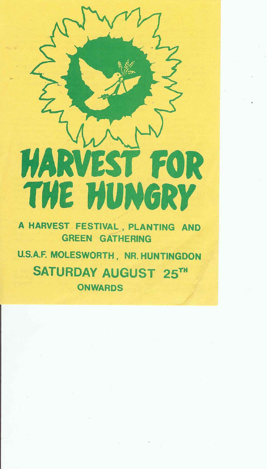

## ILLUS 179 THE PUNGRY

A HARVEST FESTIVAL, PLANTING AND GREEN GATHERING

U.S.A.F. MOLESWORTH, NR. HUNTINGDON SATURDAY AUGUST 25TH ONWARDS

and the conthe contract of the contract of the contract of the contract of the contract of the contract of the contract of the contract of the the contract of the contract of the contract of the contract of

the control of the state of the control of  $\label{eq:3.1} \mathbb{E}\left[\left\|\mathbf{u}-\mathbf{u}\right\|_{\mathcal{H}}\right]=\mathbb{E}\left[\left\|\mathbf{u}-\mathbf{u}\right\|_{\mathcal{H}}\right]=\left\|\mathbf{u}-\mathbf{u}\right\|_{\mathcal{H}}$ ,他们的人都是一个人,他们的人都是一个人,他们的人都是一个人,他们的人都是一个人,他们的人都是一个人,他们的人都是一个人,他们的人,他们的人都是一个人,他们的人<br>第125章 我们的人,他们的人都是一个人,他们的人都是一个人,他们的人都是一个人,他们的人都是一个人,他们的人都是一个人,他们的人都是一个人,他们的人都是一个人 the contract of the contract of the contract of the contract of the contract of

 $\label{eq:2.1} \mathcal{O}_{\mathcal{C}}(x) = \mathcal{O}_{\mathcal{C}}(x) = \mathcal{O}_{\mathcal{C}}(x) = \mathcal{O}_{\mathcal{C}}(x)$ <u> 1980 - 대한민국의 대한민국의 대한민국의 대한민국의 대한민국의 대한민국의 대한민</u>국의 대한민국의 대한민국의 대한민국의 대한민국의 대한민국의 대한민국의 대한민국의 대한민국의 대한민국의 대한민국의